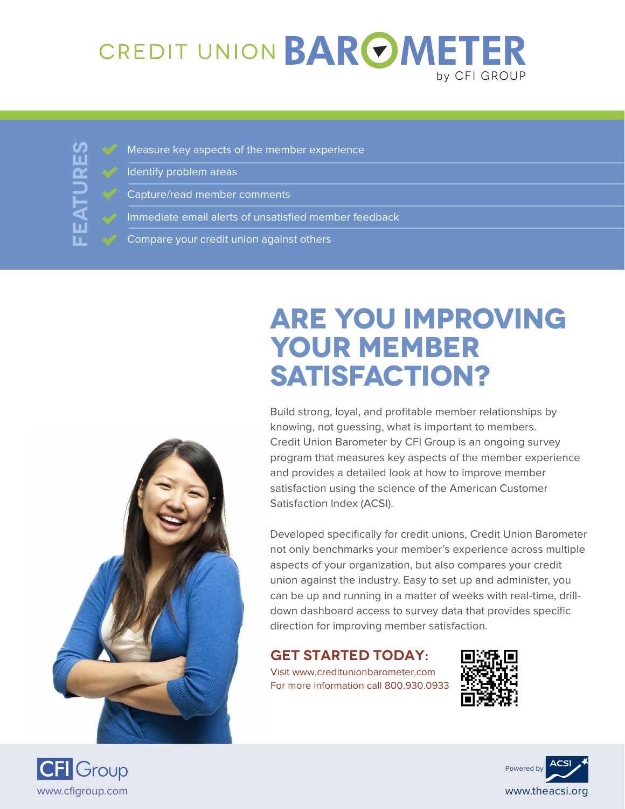## CREDIT UNION BAROMETER by CFI Group

**FEATURES** 

- Measure key aspects of the member experience
- Identify problem areas
	- Capture/read member comments
- Immediate email alerts of unsatisfied member feedback
- Compare your credit union against others



# **Are you improving your member satisfaction?**

Build strong, loyal, and profitable member relationships by knowing, not guessing, what is important to members. Credit Union Barometer by CFI Group is an ongoing survey program that measures key aspects of the member experience and provides a detailed look at how to improve member satisfaction using the science of the American Customer Satisfaction Index (ACSI).

Developed specifically for credit unions, Credit Union Barometer not only benchmarks your member's experience across multiple aspects of your organization, but also compares your credit union against the industry. Easy to set up and administer, you can be up and running in a matter of weeks with real-time, drilldown dashboard access to survey data that provides specific direction for improving member satisfaction.

#### **GET STARTED TODAY:**

Visit www.creditunionbarometer.com For more information call 800.930.0933